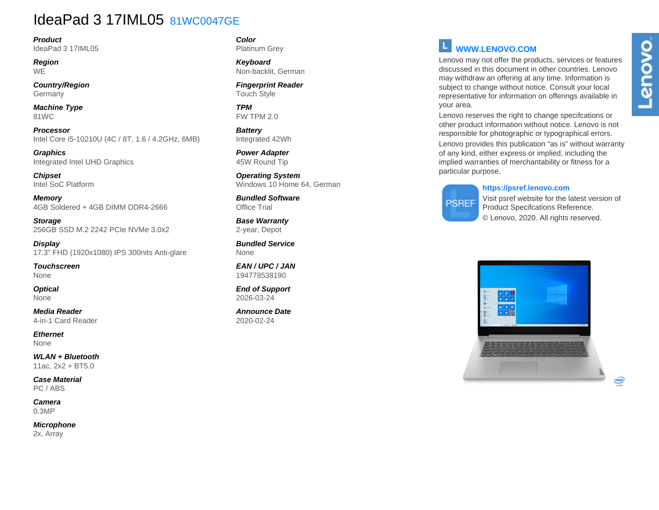## IdeaPad 3 17IML05 81WC0047GE

**Product** IdeaPad 3 17IML05

**Region WE** 

**Country/Region Germany** 

**Machine Type** 81WC

**Processor** Intel Core i5-10210U (4C / 8T, 1.6 / 4.2GHz, 6MB)

**Graphics** Integrated Intel UHD Graphics

**Chipset** Intel SoC Platform

**Memory** 4GB Soldered + 4GB DIMM DDR4-2666

**Storage** 256GB SSD M.2 2242 PCIe NVMe 3.0x2

**Display** 17.3" FHD (1920x1080) IPS 300nits Anti-glare

**Touchscreen** None

**Optical** None

**Media Reader** 4-in-1 Card Reader

**Ethernet** None

**WLAN + Bluetooth** 11ac, 2x2 + BT5.0

**Case Material** PC / ABS

**Camera** 0.3MP

**Microphone** 2x, Array

#### **Color** Platinum Grey

**Keyboard** Non-backlit, German

**Fingerprint Reader** Touch Style

**TPM** FW TPM 2.0

**Battery** Integrated 42Wh

**Power Adapter** 45W Round Tip

**Operating System** Windows 10 Home 64, German

**Bundled Software** Office Trial

**Base Warranty** 2-year, Depot

**Bundled Service** None

**EAN / UPC / JAN** 194778538190

**End of Support** 2026-03-24

**Announce Date** 2020-02-24

### **WWW.LENOVO.COM**

Lenovo may not offer the products, services or features discussed in this document in other countries. Lenovo may withdraw an offering at any time. Information is subject to change without notice. Consult your local representative for information on offerings available in your area.

Lenovo reserves the right to change specifcations or other product information without notice. Lenovo is not responsible for photographic or typographical errors.

Lenovo provides this publication "as is" without warranty of any kind, either express or implied, including the implied warranties of merchantability or fitness for a particular purpose.

#### **https://psref.lenovo.com**

# **PSREF**

Visit psref website for the latest version of Product Specifcations Reference. © Lenovo, 2020. All rights reserved.



Lenovo

 $(intel)$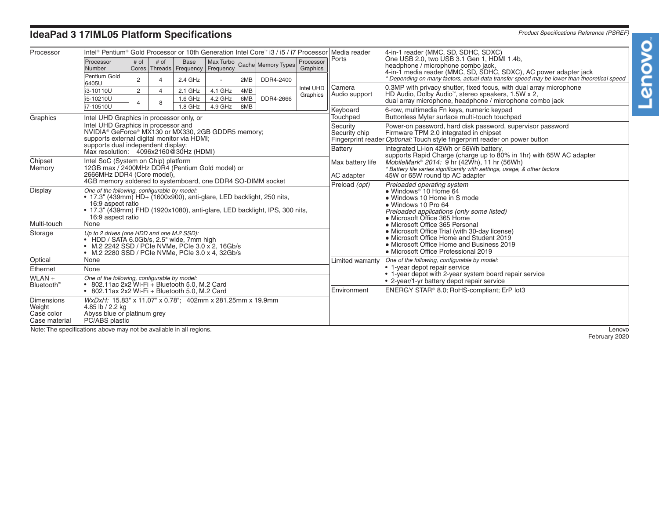# **IdeaPad 3 17IML05 Platform Specifications** *Product Specifications Reference (PSREF)*

| Processor                          | Intel® Pentium® Gold Processor or 10th Generation Intel Core™ i3 / i5 / i7 Processor Media reader                                                          |                |                |                                         |           |            |                    |                       | Ports                                                                                                                                                       | 4-in-1 reader (MMC, SD, SDHC, SDXC)<br>One USB 2.0, two USB 3.1 Gen 1, HDMI 1.4b,<br>headphone / microphone combo jack,<br>4-in-1 media reader (MMC, SD, SDHC, SDXC), AC power adapter jack<br>* Depending on many factors, actual data transfer speed may be lower than theoretical speed |
|------------------------------------|------------------------------------------------------------------------------------------------------------------------------------------------------------|----------------|----------------|-----------------------------------------|-----------|------------|--------------------|-----------------------|-------------------------------------------------------------------------------------------------------------------------------------------------------------|--------------------------------------------------------------------------------------------------------------------------------------------------------------------------------------------------------------------------------------------------------------------------------------------|
|                                    | Processor                                                                                                                                                  | # of           | # of           | <b>Base</b>                             | Max Turbo |            | Cache Memory Types | Processor<br>Graphics |                                                                                                                                                             |                                                                                                                                                                                                                                                                                            |
|                                    | Number<br>Pentium Gold                                                                                                                                     |                |                | Cores   Threads   Frequency   Frequency |           |            |                    |                       |                                                                                                                                                             |                                                                                                                                                                                                                                                                                            |
|                                    | 6405U                                                                                                                                                      | $\overline{2}$ | $\overline{4}$ | $2.4$ GHz                               |           | 2MB        | DDR4-2400          |                       | Camera                                                                                                                                                      |                                                                                                                                                                                                                                                                                            |
|                                    | i3-10110U                                                                                                                                                  | $\overline{2}$ | $\overline{4}$ | $2.1$ GHz                               | 4.1 GHz   | 4MB        | DDR4-2666          | Intel UHD<br>Graphics | Audio support                                                                                                                                               | 0.3MP with privacy shutter, fixed focus, with dual array microphone<br>HD Audio, Dolby Audio <sup>™</sup> , stereo speakers, 1.5W x 2,<br>dual array microphone, headphone / microphone combo jack                                                                                         |
|                                    | i5-10210U<br>Δ<br>i7-10510U                                                                                                                                |                | 8              | $1.6$ GHz<br>1.8 GHz                    | 4.2 GHz   | 6MB<br>8MB |                    |                       |                                                                                                                                                             |                                                                                                                                                                                                                                                                                            |
|                                    |                                                                                                                                                            |                |                |                                         | 4.9 GHz   |            |                    |                       | Keyboard                                                                                                                                                    | 6-row, multimedia Fn keys, numeric keypad<br>Buttonless Mylar surface multi-touch touchpad                                                                                                                                                                                                 |
| Graphics                           | Intel UHD Graphics in processor only, or<br>Intel UHD Graphics in processor and                                                                            |                |                |                                         |           |            |                    |                       | Touchpad                                                                                                                                                    |                                                                                                                                                                                                                                                                                            |
|                                    | NVIDIA <sup>®</sup> GeForce® MX130 or MX330, 2GB GDDR5 memory;                                                                                             |                |                |                                         |           |            |                    |                       | Security<br>Security chip                                                                                                                                   | Power-on password, hard disk password, supervisor password<br>Firmware TPM 2.0 integrated in chipset<br>Fingerprint reader Optional: Touch style fingerprint reader on power button                                                                                                        |
|                                    | supports external digital monitor via HDMI;                                                                                                                |                |                |                                         |           |            |                    |                       |                                                                                                                                                             |                                                                                                                                                                                                                                                                                            |
|                                    | supports dual independent display;<br>Max resolution: 4096x2160@30Hz (HDMI)                                                                                |                |                |                                         |           |            |                    |                       | <b>Battery</b>                                                                                                                                              | Integrated Li-ion 42Wh or 56Wh battery,<br>supports Rapid Charge (charge up to 80% in 1hr) with 65W AC adapter<br>MobileMark <sup>®</sup> 2014: 9 hr (42Wh), 11 hr (56Wh)<br>* Battery life varies significantly with settings, usage, & other factors                                     |
| Chipset                            | Intel SoC (System on Chip) platform                                                                                                                        |                |                |                                         |           |            |                    |                       | Max battery life                                                                                                                                            |                                                                                                                                                                                                                                                                                            |
| Memory                             | 12GB max / 2400MHz DDR4 (Pentium Gold model) or                                                                                                            |                |                |                                         |           |            |                    |                       |                                                                                                                                                             |                                                                                                                                                                                                                                                                                            |
|                                    | 2666MHz DDR4 (Core model),<br>4GB memory soldered to systemboard, one DDR4 SO-DIMM socket                                                                  |                |                |                                         |           |            |                    |                       | AC adapter                                                                                                                                                  | 45W or 65W round tip AC adapter                                                                                                                                                                                                                                                            |
| Display                            | One of the following, configurable by model:                                                                                                               |                |                |                                         |           |            |                    |                       | Preload (opt)                                                                                                                                               | Preloaded operating system<br>• Windows <sup>®</sup> 10 Home 64<br>• Windows 10 Home in S mode<br>• Windows 10 Pro 64                                                                                                                                                                      |
|                                    | • 17.3" (439mm) HD+ (1600x900), anti-glare, LED backlight, 250 nits,                                                                                       |                |                |                                         |           |            |                    |                       |                                                                                                                                                             |                                                                                                                                                                                                                                                                                            |
|                                    | 16:9 aspect ratio<br>• 17.3" (439mm) FHD (1920x1080), anti-glare, LED backlight, IPS, 300 nits,                                                            |                |                |                                         |           |            |                    |                       |                                                                                                                                                             |                                                                                                                                                                                                                                                                                            |
|                                    | 16:9 aspect ratio                                                                                                                                          |                |                |                                         |           |            |                    |                       |                                                                                                                                                             | Preloaded applications (only some listed)<br>• Microsoft Office 365 Home                                                                                                                                                                                                                   |
| Multi-touch                        | None                                                                                                                                                       |                |                |                                         |           |            |                    |                       |                                                                                                                                                             | • Microsoft Office 365 Personal                                                                                                                                                                                                                                                            |
| Storage                            | Up to 2 drives (one HDD and one M.2 SSD):                                                                                                                  |                |                |                                         |           |            |                    |                       |                                                                                                                                                             | • Microsoft Office Trial (with 30-day license)<br>• Microsoft Office Home and Student 2019                                                                                                                                                                                                 |
|                                    | • HDD / SATA 6.0Gb/s, 2.5" wide, 7mm high<br>• M.2 2242 SSD / PCIe NVMe, PCIe 3.0 x 2, 16Gb/s                                                              |                |                |                                         |           |            |                    |                       |                                                                                                                                                             | • Microsoft Office Home and Business 2019                                                                                                                                                                                                                                                  |
|                                    | • M.2 2280 SSD / PCIe NVMe, PCIe 3.0 x 4, 32Gb/s                                                                                                           |                |                |                                         |           |            |                    |                       |                                                                                                                                                             | • Microsoft Office Professional 2019                                                                                                                                                                                                                                                       |
| Optical                            | None                                                                                                                                                       |                |                |                                         |           |            |                    |                       | One of the following, configurable by model:<br>Limited warranty<br>• 1-year depot repair service<br>• 1-year depot with 2-year system board repair service |                                                                                                                                                                                                                                                                                            |
| Ethernet                           | None                                                                                                                                                       |                |                |                                         |           |            |                    |                       |                                                                                                                                                             |                                                                                                                                                                                                                                                                                            |
| $WLAN +$<br>Bluetooth <sup>™</sup> | One of the following, configurable by model:<br>$\bullet$ 802.11ac 2x2 Wi-Fi $+$ Bluetooth 5.0, M.2 Card<br>• 802.11ax 2x2 Wi-Fi + Bluetooth 5.0, M.2 Card |                |                |                                         |           |            |                    |                       |                                                                                                                                                             | • 2-year/1-yr battery depot repair service                                                                                                                                                                                                                                                 |
|                                    |                                                                                                                                                            |                |                |                                         |           |            |                    |                       | Environment                                                                                                                                                 | ENERGY STAR <sup>®</sup> 8.0; RoHS-compliant; ErP lot3                                                                                                                                                                                                                                     |
| <b>Dimensions</b>                  | WxDxH: 15.83" x 11.07" x 0.78"; 402mm x 281.25mm x 19.9mm<br>4.85 lb / 2.2 kg<br>Abyss blue or platinum grey<br>PC/ABS plastic                             |                |                |                                         |           |            |                    |                       |                                                                                                                                                             |                                                                                                                                                                                                                                                                                            |
| Weight<br>Case color               |                                                                                                                                                            |                |                |                                         |           |            |                    |                       |                                                                                                                                                             |                                                                                                                                                                                                                                                                                            |
| Case material                      |                                                                                                                                                            |                |                |                                         |           |            |                    |                       |                                                                                                                                                             |                                                                                                                                                                                                                                                                                            |

Note: The specifications above may not be available in all regions.

Lenovo<br>February 2020